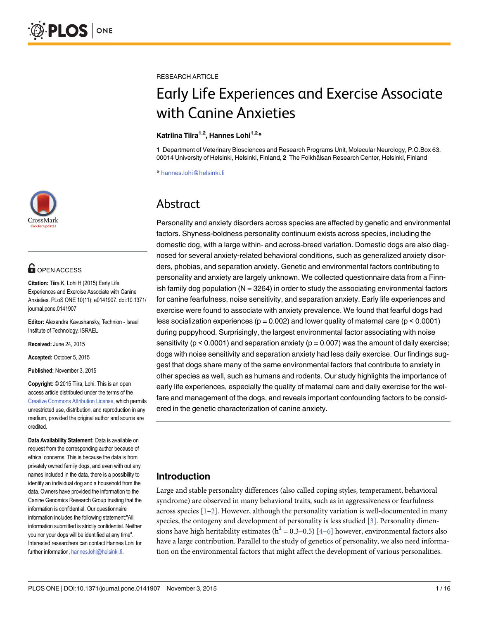

# **OPEN ACCESS**

Citation: Tiira K, Lohi H (2015) Early Life Experiences and Exercise Associate with Canine Anxieties. PLoS ONE 10(11): e0141907. doi:10.1371/ journal.pone.0141907

Editor: Alexandra Kavushansky, Technion - Israel Institute of Technology, ISRAEL

Received: June 24, 2015

Accepted: October 5, 2015

Published: November 3, 2015

Copyright: © 2015 Tiira, Lohi. This is an open access article distributed under the terms of the [Creative Commons Attribution License,](http://creativecommons.org/licenses/by/4.0/) which permits unrestricted use, distribution, and reproduction in any medium, provided the original author and source are credited.

Data Availability Statement: Data is available on request from the corresponding author because of ethical concerns. This is because the data is from privately owned family dogs, and even with out any names included in the data, there is a possibility to identify an individual dog and a household from the data. Owners have provided the information to the Canine Genomics Research Group trusting that the information is confidential. Our questionnaire information includes the following statement:"All information submitted is strictly confidential. Neither you nor your dogs will be identified at any time". Interested researchers can contact Hannes Lohi for further information, hannes.lohi@helsinki.fi.

<span id="page-0-0"></span>RESEARCH ARTICLE

# Early Life Experiences and Exercise Associate with Canine Anxieties

### Katriina Tiira<sup>1,2</sup>, Hannes Lohi<sup>1,2\*</sup>

1 Department of Veterinary Biosciences and Research Programs Unit, Molecular Neurology, P.O.Box 63, 00014 University of Helsinki, Helsinki, Finland, 2 The Folkhälsan Research Center, Helsinki, Finland

\* hannes.lohi@helsinki.fi

## Abstract

Personality and anxiety disorders across species are affected by genetic and environmental factors. Shyness-boldness personality continuum exists across species, including the domestic dog, with a large within- and across-breed variation. Domestic dogs are also diagnosed for several anxiety-related behavioral conditions, such as generalized anxiety disorders, phobias, and separation anxiety. Genetic and environmental factors contributing to personality and anxiety are largely unknown. We collected questionnaire data from a Finnish family dog population ( $N = 3264$ ) in order to study the associating environmental factors for canine fearfulness, noise sensitivity, and separation anxiety. Early life experiences and exercise were found to associate with anxiety prevalence. We found that fearful dogs had less socialization experiences ( $p = 0.002$ ) and lower quality of maternal care ( $p < 0.0001$ ) during puppyhood. Surprisingly, the largest environmental factor associating with noise sensitivity ( $p < 0.0001$ ) and separation anxiety ( $p = 0.007$ ) was the amount of daily exercise; dogs with noise sensitivity and separation anxiety had less daily exercise. Our findings suggest that dogs share many of the same environmental factors that contribute to anxiety in other species as well, such as humans and rodents. Our study highlights the importance of early life experiences, especially the quality of maternal care and daily exercise for the welfare and management of the dogs, and reveals important confounding factors to be considered in the genetic characterization of canine anxiety.

### Introduction

Large and stable personality differences (also called coping styles, temperament, behavioral syndrome) are observed in many behavioral traits, such as in aggressiveness or fearfulness across species  $[1-2]$  $[1-2]$  $[1-2]$  $[1-2]$ . However, although the personality variation is well-documented in many species, the ontogeny and development of personality is less studied [\[3\]](#page-12-0). Personality dimensions have high heritability estimates ( $h^2 = 0.3 - 0.5$ ) [\[4](#page-12-0)–[6\]](#page-12-0) however, environmental factors also have a large contribution. Parallel to the study of genetics of personality, we also need information on the environmental factors that might affect the development of various personalities.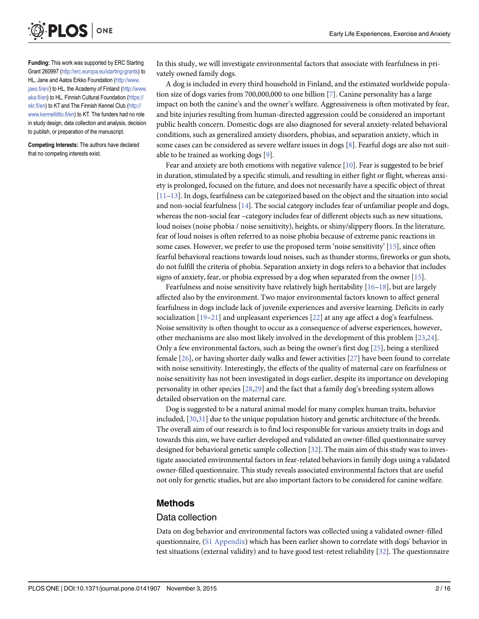<span id="page-1-0"></span>

Funding: This work was supported by ERC Starting Grant 260997 ([http://erc.europa.eu/starting-grants\)](http://erc.europa.eu/starting-grants) to HL, Jane and Aatos Erkko Foundation ([http://www.](http://www.jaes.fi/en/) [jaes.fi/en/](http://www.jaes.fi/en/)) to HL, the Academy of Finland ([http://www.](http://www.aka.fi/en) [aka.fi/en\)](http://www.aka.fi/en) to HL, Finnish Cultural Foundation ([https://](https://skr.fi/en) [skr.fi/en\)](https://skr.fi/en) to KT and The Finnish Kennel Club ([http://](http://www.kennelliitto.fi/en) [www.kennelliitto.fi/en\)](http://www.kennelliitto.fi/en) to KT. The funders had no role in study design, data collection and analysis, decision to publish, or preparation of the manuscript.

Competing Interests: The authors have declared that no competing interests exist.

In this study, we will investigate environmental factors that associate with fearfulness in privately owned family dogs.

A dog is included in every third household in Finland, and the estimated worldwide population size of dogs varies from 700,000,000 to one billion [\[7\]](#page-12-0). Canine personality has a large impact on both the canine's and the owner's welfare. Aggressiveness is often motivated by fear, and bite injuries resulting from human-directed aggression could be considered an important public health concern. Domestic dogs are also diagnosed for several anxiety-related behavioral conditions, such as generalized anxiety disorders, phobias, and separation anxiety, which in some cases can be considered as severe welfare issues in dogs [\[8](#page-12-0)]. Fearful dogs are also not suitable to be trained as working dogs  $[9]$  $[9]$ .

Fear and anxiety are both emotions with negative valence [[10](#page-12-0)]. Fear is suggested to be brief in duration, stimulated by a specific stimuli, and resulting in either fight or flight, whereas anxiety is prolonged, focused on the future, and does not necessarily have a specific object of threat [\[11](#page-13-0)–[13](#page-13-0)]. In dogs, fearfulness can be categorized based on the object and the situation into social and non-social fearfulness [\[14\]](#page-13-0). The social category includes fear of unfamiliar people and dogs, whereas the non-social fear –category includes fear of different objects such as new situations, loud noises (noise phobia / noise sensitivity), heights, or shiny/slippery floors. In the literature, fear of loud noises is often referred to as noise phobia because of extreme panic reactions in some cases. However, we prefer to use the proposed term 'noise sensitivity' [\[15\]](#page-13-0), since often fearful behavioral reactions towards loud noises, such as thunder storms, fireworks or gun shots, do not fulfill the criteria of phobia. Separation anxiety in dogs refers to a behavior that includes signs of anxiety, fear, or phobia expressed by a dog when separated from the owner [[15](#page-13-0)].

Fearfulness and noise sensitivity have relatively high heritability [[16](#page-13-0)–[18](#page-13-0)], but are largely affected also by the environment. Two major environmental factors known to affect general fearfulness in dogs include lack of juvenile experiences and aversive learning. Deficits in early socialization [\[19](#page-13-0)–[21](#page-13-0)] and unpleasant experiences [[22](#page-13-0)] at any age affect a dog's fearfulness. Noise sensitivity is often thought to occur as a consequence of adverse experiences, however, other mechanisms are also most likely involved in the development of this problem [\[23,24](#page-13-0)]. Only a few environmental factors, such as being the owner's first dog [\[25\]](#page-13-0), being a sterilized female [[26\]](#page-13-0), or having shorter daily walks and fewer activities [\[27](#page-13-0)] have been found to correlate with noise sensitivity. Interestingly, the effects of the quality of maternal care on fearfulness or noise sensitivity has not been investigated in dogs earlier, despite its importance on developing personality in other species [\[28,29\]](#page-13-0) and the fact that a family dog's breeding system allows detailed observation on the maternal care.

Dog is suggested to be a natural animal model for many complex human traits, behavior included, [[30,31\]](#page-13-0) due to the unique population history and genetic architecture of the breeds. The overall aim of our research is to find loci responsible for various anxiety traits in dogs and towards this aim, we have earlier developed and validated an owner-filled questionnaire survey designed for behavioral genetic sample collection [\[32\]](#page-13-0). The main aim of this study was to investigate associated environmental factors in fear-related behaviors in family dogs using a validated owner-filled questionnaire. This study reveals associated environmental factors that are useful not only for genetic studies, but are also important factors to be considered for canine welfare.

### Methods

### Data collection

Data on dog behavior and environmental factors was collected using a validated owner-filled questionnaire, [\(S1 Appendix](#page-12-0)) which has been earlier shown to correlate with dogs' behavior in test situations (external validity) and to have good test-retest reliability  $[32]$ . The questionnaire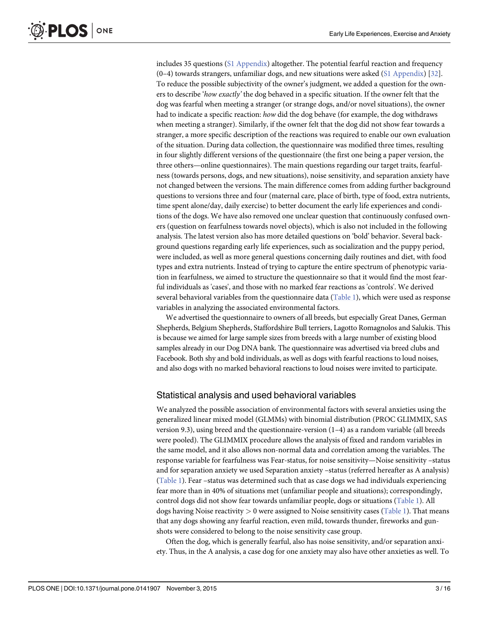<span id="page-2-0"></span>includes 35 questions [\(S1 Appendix\)](#page-12-0) altogether. The potential fearful reaction and frequency  $(0-4)$  towards strangers, unfamiliar dogs, and new situations were asked  $(S1$  Appendix)  $[32]$  $[32]$  $[32]$ . To reduce the possible subjectivity of the owner's judgment, we added a question for the owners to describe 'how exactly' the dog behaved in a specific situation. If the owner felt that the dog was fearful when meeting a stranger (or strange dogs, and/or novel situations), the owner had to indicate a specific reaction: how did the dog behave (for example, the dog withdraws when meeting a stranger). Similarly, if the owner felt that the dog did not show fear towards a stranger, a more specific description of the reactions was required to enable our own evaluation of the situation. During data collection, the questionnaire was modified three times, resulting in four slightly different versions of the questionnaire (the first one being a paper version, the three others—online questionnaires). The main questions regarding our target traits, fearfulness (towards persons, dogs, and new situations), noise sensitivity, and separation anxiety have not changed between the versions. The main difference comes from adding further background questions to versions three and four (maternal care, place of birth, type of food, extra nutrients, time spent alone/day, daily exercise) to better document the early life experiences and conditions of the dogs. We have also removed one unclear question that continuously confused owners (question on fearfulness towards novel objects), which is also not included in the following analysis. The latest version also has more detailed questions on 'bold' behavior. Several background questions regarding early life experiences, such as socialization and the puppy period, were included, as well as more general questions concerning daily routines and diet, with food types and extra nutrients. Instead of trying to capture the entire spectrum of phenotypic variation in fearfulness, we aimed to structure the questionnaire so that it would find the most fearful individuals as 'cases', and those with no marked fear reactions as 'controls'. We derived several behavioral variables from the questionnaire data [\(Table 1](#page-3-0)), which were used as response variables in analyzing the associated environmental factors.

We advertised the questionnaire to owners of all breeds, but especially Great Danes, German Shepherds, Belgium Shepherds, Staffordshire Bull terriers, Lagotto Romagnolos and Salukis. This is because we aimed for large sample sizes from breeds with a large number of existing blood samples already in our Dog DNA bank. The questionnaire was advertised via breed clubs and Facebook. Both shy and bold individuals, as well as dogs with fearful reactions to loud noises, and also dogs with no marked behavioral reactions to loud noises were invited to participate.

### Statistical analysis and used behavioral variables

We analyzed the possible association of environmental factors with several anxieties using the generalized linear mixed model (GLMMs) with binomial distribution (PROC GLIMMIX, SAS version 9.3), using breed and the questionnaire-version  $(1-4)$  as a random variable (all breeds were pooled). The GLIMMIX procedure allows the analysis of fixed and random variables in the same model, and it also allows non-normal data and correlation among the variables. The response variable for fearfulness was Fear-status, for noise sensitivity—Noise sensitivity –status and for separation anxiety we used Separation anxiety –status (referred hereafter as A analysis) [\(Table 1\)](#page-3-0). Fear –status was determined such that as case dogs we had individuals experiencing fear more than in 40% of situations met (unfamiliar people and situations); correspondingly, control dogs did not show fear towards unfamiliar people, dogs or situations [\(Table 1](#page-3-0)). All dogs having Noise reactivity  $> 0$  were assigned to Noise sensitivity cases ([Table 1\)](#page-3-0). That means that any dogs showing any fearful reaction, even mild, towards thunder, fireworks and gunshots were considered to belong to the noise sensitivity case group.

Often the dog, which is generally fearful, also has noise sensitivity, and/or separation anxiety. Thus, in the A analysis, a case dog for one anxiety may also have other anxieties as well. To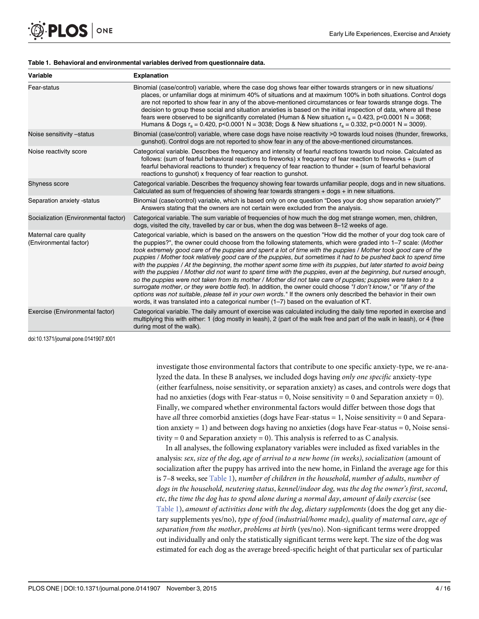#### <span id="page-3-0"></span>[Table 1.](#page-2-0) Behavioral and environmental variables derived from questionnaire data.

| Variable                                        | <b>Explanation</b>                                                                                                                                                                                                                                                                                                                                                                                                                                                                                                                                                                                                                                                                                                                                                                                                                                                                                                                                                                                                                                                                                                                                                       |
|-------------------------------------------------|--------------------------------------------------------------------------------------------------------------------------------------------------------------------------------------------------------------------------------------------------------------------------------------------------------------------------------------------------------------------------------------------------------------------------------------------------------------------------------------------------------------------------------------------------------------------------------------------------------------------------------------------------------------------------------------------------------------------------------------------------------------------------------------------------------------------------------------------------------------------------------------------------------------------------------------------------------------------------------------------------------------------------------------------------------------------------------------------------------------------------------------------------------------------------|
| Fear-status                                     | Binomial (case/control) variable, where the case dog shows fear either towards strangers or in new situations/<br>places, or unfamiliar dogs at minimum 40% of situations and at maximum 100% in both situations. Control dogs<br>are not reported to show fear in any of the above-mentioned circumstances or fear towards strange dogs. The<br>decision to group these social and situation anxieties is based on the initial inspection of data, where all these<br>fears were observed to be significantly correlated (Human & New situation $r_s = 0.423$ , p<0.0001 N = 3068;<br>Humans & Dogs $r_s = 0.420$ , p<0.0001 N = 3038; Dogs & New situations $r_s = 0.332$ , p<0.0001 N = 3009).                                                                                                                                                                                                                                                                                                                                                                                                                                                                        |
| Noise sensitivity -status                       | Binomial (case/control) variable, where case dogs have noise reactivity >0 towards loud noises (thunder, fireworks,<br>gunshot). Control dogs are not reported to show fear in any of the above-mentioned circumstances.                                                                                                                                                                                                                                                                                                                                                                                                                                                                                                                                                                                                                                                                                                                                                                                                                                                                                                                                                 |
| Noise reactivity score                          | Categorical variable. Describes the frequency and intensity of fearful reactions towards loud noise. Calculated as<br>follows: (sum of fearful behavioral reactions to fireworks) x frequency of fear reaction to fireworks + (sum of<br>fearful behavioral reactions to thunder) x frequency of fear reaction to thunder + (sum of fearful behavioral<br>reactions to gunshot) x frequency of fear reaction to gunshot.                                                                                                                                                                                                                                                                                                                                                                                                                                                                                                                                                                                                                                                                                                                                                 |
| Shyness score                                   | Categorical variable. Describes the frequency showing fear towards unfamiliar people, dogs and in new situations.<br>Calculated as sum of frequencies of showing fear towards strangers $+$ dogs $+$ in new situations.                                                                                                                                                                                                                                                                                                                                                                                                                                                                                                                                                                                                                                                                                                                                                                                                                                                                                                                                                  |
| Separation anxiety -status                      | Binomial (case/control) variable, which is based only on one question "Does your dog show separation anxiety?"<br>Answers stating that the owners are not certain were excluded from the analysis.                                                                                                                                                                                                                                                                                                                                                                                                                                                                                                                                                                                                                                                                                                                                                                                                                                                                                                                                                                       |
| Socialization (Environmental factor)            | Categorical variable. The sum variable of frequencies of how much the dog met strange women, men, children,<br>dogs, visited the city, travelled by car or bus, when the dog was between 8–12 weeks of age.                                                                                                                                                                                                                                                                                                                                                                                                                                                                                                                                                                                                                                                                                                                                                                                                                                                                                                                                                              |
| Maternal care quality<br>(Environmental factor) | Categorical variable, which is based on the answers on the question "How did the mother of your dog took care of<br>the puppies?", the owner could choose from the following statements, which were graded into 1-7 scale: (Mother<br>took extremely good care of the puppies and spent a lot of time with the puppies / Mother took good care of the<br>puppies / Mother took relatively good care of the puppies, but sometimes it had to be pushed back to spend time<br>with the puppies / At the beginning, the mother spent some time with its puppies, but later started to avoid being<br>with the puppies / Mother did not want to spent time with the puppies, even at the beginning, but nursed enough,<br>so the puppies were not taken from its mother / Mother did not take care of puppies; puppies were taken to a<br>surrogate mother, or they were bottle fed). In addition, the owner could choose "I don't know," or "If any of the<br>options was not suitable, please tell in your own words." If the owners only described the behavior in their own<br>words, it was translated into a categorical number $(1-7)$ based on the evaluation of KT. |
| Exercise (Environmental factor)                 | Categorical variable. The daily amount of exercise was calculated including the daily time reported in exercise and<br>multiplying this with either: 1 (dog mostly in leash), 2 (part of the walk free and part of the walk in leash), or 4 (free<br>during most of the walk).                                                                                                                                                                                                                                                                                                                                                                                                                                                                                                                                                                                                                                                                                                                                                                                                                                                                                           |

doi:10.1371/journal.pone.0141907.t001

investigate those environmental factors that contribute to one specific anxiety-type, we re-analyzed the data. In these B analyses, we included dogs having only one specific anxiety-type (either fearfulness, noise sensitivity, or separation anxiety) as cases, and controls were dogs that had no anxieties (dogs with Fear-status = 0, Noise sensitivity = 0 and Separation anxiety = 0). Finally, we compared whether environmental factors would differ between those dogs that have *all* three comorbid anxieties (dogs have Fear-status  $= 1$ , Noise sensitivity  $= 0$  and Separation anxiety  $= 1$ ) and between dogs having no anxieties (dogs have Fear-status  $= 0$ , Noise sensitivity = 0 and Separation anxiety = 0). This analysis is referred to as  $C$  analysis.

In all analyses, the following explanatory variables were included as fixed variables in the analysis: sex, size of the dog, age of arrival to a new home (in weeks), socialization (amount of socialization after the puppy has arrived into the new home, in Finland the average age for this is 7–8 weeks, see  $Table 1$ , number of children in the household, number of adults, number of dogs in the household, neutering status, kennel/indoor dog, was the dog the owner's first, second, etc, the time the dog has to spend alone during a normal day, amount of daily exercise (see Table 1), amount of activities done with the dog, dietary supplements (does the dog get any dietary supplements yes/no), type of food (industrial/home made), quality of maternal care, age of separation from the mother, problems at birth (yes/no). Non-significant terms were dropped out individually and only the statistically significant terms were kept. The size of the dog was estimated for each dog as the average breed-specific height of that particular sex of particular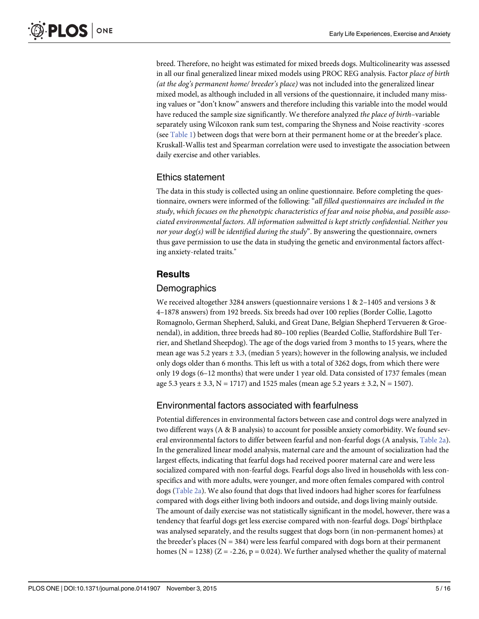<span id="page-4-0"></span>breed. Therefore, no height was estimated for mixed breeds dogs. Multicolinearity was assessed in all our final generalized linear mixed models using PROC REG analysis. Factor place of birth (at the dog's permanent home/ breeder's place) was not included into the generalized linear mixed model, as although included in all versions of the questionnaire, it included many missing values or "don't know" answers and therefore including this variable into the model would have reduced the sample size significantly. We therefore analyzed the place of birth-variable separately using Wilcoxon rank sum test, comparing the Shyness and Noise reactivity -scores (see  $Table 1$ ) between dogs that were born at their permanent home or at the breeder's place. Kruskall-Wallis test and Spearman correlation were used to investigate the association between daily exercise and other variables.

### Ethics statement

The data in this study is collected using an online questionnaire. Before completing the questionnaire, owners were informed of the following: "all filled questionnaires are included in the study, which focuses on the phenotypic characteristics of fear and noise phobia, and possible associated environmental factors. All information submitted is kept strictly confidential. Neither you nor your  $dog(s)$  will be identified during the study". By answering the questionnaire, owners thus gave permission to use the data in studying the genetic and environmental factors affecting anxiety-related traits."

### Results

### **Demographics**

We received altogether 3284 answers (questionnaire versions 1 &  $2-1405$  and versions 3 & 4–1878 answers) from 192 breeds. Six breeds had over 100 replies (Border Collie, Lagotto Romagnolo, German Shepherd, Saluki, and Great Dane, Belgian Shepherd Tervueren & Groenendal), in addition, three breeds had 80–100 replies (Bearded Collie, Staffordshire Bull Terrier, and Shetland Sheepdog). The age of the dogs varied from 3 months to 15 years, where the mean age was 5.2 years  $\pm$  3.3, (median 5 years); however in the following analysis, we included only dogs older than 6 months. This left us with a total of 3262 dogs, from which there were only 19 dogs (6–12 months) that were under 1 year old. Data consisted of 1737 females (mean age 5.3 years  $\pm$  3.3, N = 1717) and 1525 males (mean age 5.2 years  $\pm$  3.2, N = 1507).

### Environmental factors associated with fearfulness

Potential differences in environmental factors between case and control dogs were analyzed in two different ways (A & B analysis) to account for possible anxiety comorbidity. We found several environmental factors to differ between fearful and non-fearful dogs (A analysis, [Table 2a](#page-5-0)). In the generalized linear model analysis, maternal care and the amount of socialization had the largest effects, indicating that fearful dogs had received poorer maternal care and were less socialized compared with non-fearful dogs. Fearful dogs also lived in households with less conspecifics and with more adults, were younger, and more often females compared with control dogs [\(Table 2a\)](#page-5-0). We also found that dogs that lived indoors had higher scores for fearfulness compared with dogs either living both indoors and outside, and dogs living mainly outside. The amount of daily exercise was not statistically significant in the model, however, there was a tendency that fearful dogs get less exercise compared with non-fearful dogs. Dogs' birthplace was analysed separately, and the results suggest that dogs born (in non-permanent homes) at the breeder's places ( $N = 384$ ) were less fearful compared with dogs born at their permanent homes (N = 1238) (Z = -2.26, p = 0.024). We further analysed whether the quality of maternal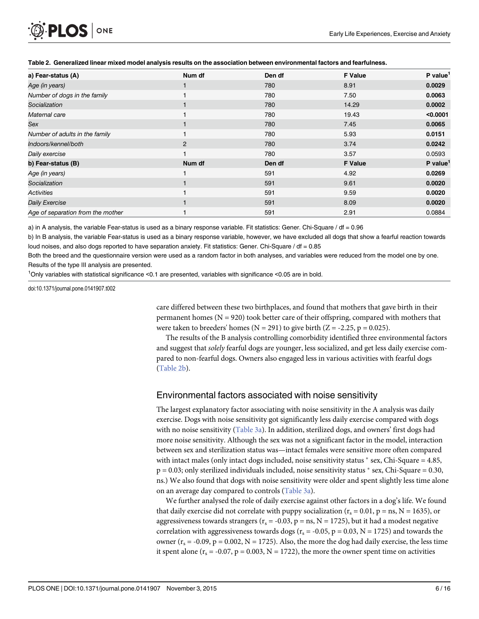<span id="page-5-0"></span>

| a) Fear-status (A)                | Num df | Den df | <b>F</b> Value | P value <sup>1</sup> |
|-----------------------------------|--------|--------|----------------|----------------------|
| Age (in years)                    |        | 780    | 8.91           | 0.0029               |
| Number of dogs in the family      |        | 780    | 7.50           | 0.0063               |
| Socialization                     |        | 780    | 14.29          | 0.0002               |
| Maternal care                     |        | 780    | 19.43          | < 0.0001             |
| Sex                               |        | 780    | 7.45           | 0.0065               |
| Number of adults in the family    |        | 780    | 5.93           | 0.0151               |
| Indoors/kennel/both               | 2      | 780    | 3.74           | 0.0242               |
| Daily exercise                    |        | 780    | 3.57           | 0.0593               |
| b) Fear-status (B)                | Num df | Den df | <b>F</b> Value | P value <sup>1</sup> |
| Age (in years)                    |        | 591    | 4.92           | 0.0269               |
| Socialization                     |        | 591    | 9.61           | 0.0020               |
| <b>Activities</b>                 |        | 591    | 9.59           | 0.0020               |
| Daily Exercise                    |        | 591    | 8.09           | 0.0020               |
| Age of separation from the mother |        | 591    | 2.91           | 0.0884               |

#### [Table 2.](#page-4-0) Generalized linear mixed model analysis results on the association between environmental factors and fearfulness.

a) in A analysis, the variable Fear-status is used as a binary response variable. Fit statistics: Gener. Chi-Square / df = 0.96

b) In B analysis, the variable Fear-status is used as a binary response variable, however, we have excluded all dogs that show a fearful reaction towards loud noises, and also dogs reported to have separation anxiety. Fit statistics: Gener. Chi-Square / df = 0.85

Both the breed and the questionnaire version were used as a random factor in both analyses, and variables were reduced from the model one by one. Results of the type III analysis are presented.

<sup>1</sup>Only variables with statistical significance <0.1 are presented, variables with significance <0.05 are in bold.

doi:10.1371/journal.pone.0141907.t002

care differed between these two birthplaces, and found that mothers that gave birth in their permanent homes  $(N = 920)$  took better care of their offspring, compared with mothers that were taken to breeders' homes ( $N = 291$ ) to give birth ( $Z = -2.25$ ,  $p = 0.025$ ).

The results of the B analysis controlling comorbidity identified three environmental factors and suggest that solely fearful dogs are younger, less socialized, and get less daily exercise compared to non-fearful dogs. Owners also engaged less in various activities with fearful dogs (Table 2b).

### Environmental factors associated with noise sensitivity

The largest explanatory factor associating with noise sensitivity in the A analysis was daily exercise. Dogs with noise sensitivity got significantly less daily exercise compared with dogs with no noise sensitivity  $(Table 3a)$ . In addition, sterilized dogs, and owners' first dogs had more noise sensitivity. Although the sex was not a significant factor in the model, interaction between sex and sterilization status was—intact females were sensitive more often compared with intact males (only intact dogs included, noise sensitivity status  $*$  sex, Chi-Square = 4.85,  $p = 0.03$ ; only sterilized individuals included, noise sensitivity status  $*$  sex, Chi-Square = 0.30, ns.) We also found that dogs with noise sensitivity were older and spent slightly less time alone on an average day compared to controls ([Table 3a](#page-6-0)).

We further analysed the role of daily exercise against other factors in a dog's life. We found that daily exercise did not correlate with puppy socialization ( $r_s = 0.01$ ,  $p = ns$ ,  $N = 1635$ ), or aggressiveness towards strangers ( $r_s = -0.03$ , p = ns, N = 1725), but it had a modest negative correlation with aggressiveness towards dogs ( $r_s$  = -0.05, p = 0.03, N = 1725) and towards the owner ( $r_s = -0.09$ , p = 0.002, N = 1725). Also, the more the dog had daily exercise, the less time it spent alone  $(r_s = -0.07, p = 0.003, N = 1722)$ , the more the owner spent time on activities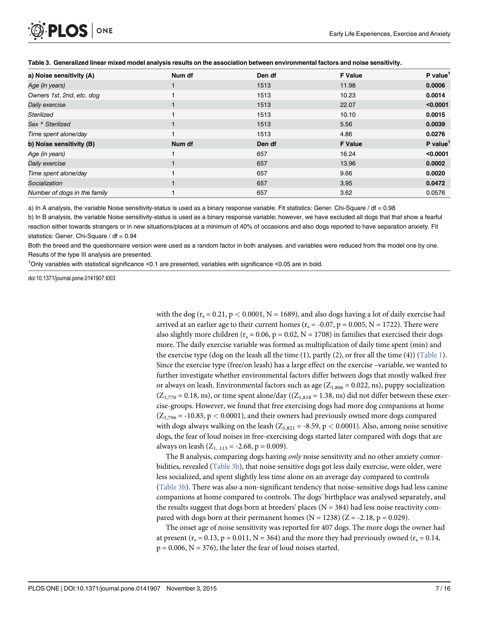<span id="page-6-0"></span>

| a) Noise sensitivity (A)     | Num df | Den df | <b>F</b> Value | P value <sup>1</sup> |
|------------------------------|--------|--------|----------------|----------------------|
| Age (in years)               |        | 1513   | 11.98          | 0.0006               |
| Owners 1st, 2nd, etc. dog    |        | 1513   | 10.23          | 0.0014               |
| Daily exercise               |        | 1513   | 22.07          | < 0.0001             |
| Sterilized                   |        | 1513   | 10.10          | 0.0015               |
| Sex * Sterilized             |        | 1513   | 5.56           | 0.0039               |
| Time spent alone/day         |        | 1513   | 4.86           | 0.0276               |
| b) Noise sensitivity (B)     | Num df | Den df | <b>F</b> Value | P value <sup>1</sup> |
| Age (in years)               |        | 657    | 16.24          | < 0.0001             |
| Daily exercise               |        | 657    | 13.96          | 0.0002               |
| Time spent alone/day         |        | 657    | 9.66           | 0.0020               |
| Socialization                |        | 657    | 3.95           | 0.0472               |
| Number of dogs in the family |        | 657    | 3.62           | 0.0576               |

#### [Table 3.](#page-5-0) Generalized linear mixed model analysis results on the association between environmental factors and noise sensitivity.

a) In A analysis, the variable Noise sensitivity-status is used as a binary response variable. Fit statistics: Gener. Chi-Square / df = 0.98

b) In B analysis, the variable Noise sensitivity-status is used as a binary response variable; however, we have excluded all dogs that that show a fearful reaction either towards strangers or in new situations/places at a minimum of 40% of occasions and also dogs reported to have separation anxiety. Fit statistics: Gener. Chi-Square / df = 0.94

Both the breed and the questionnaire version were used as a random factor in both analyses, and variables were reduced from the model one by one. Results of the type III analysis are presented.

<sup>1</sup>Only variables with statistical significance <0.1 are presented, variables with significance <0.05 are in bold.

doi:10.1371/journal.pone.0141907.t003

with the dog ( $r_s = 0.21$ ,  $p < 0.0001$ ,  $N = 1689$ ), and also dogs having a lot of daily exercise had arrived at an earlier age to their current homes ( $r_s = -0.07$ ,  $p = 0.005$ ,  $N = 1722$ ). There were also slightly more children ( $r_s = 0.06$ ,  $p = 0.02$ ,  $N = 1708$ ) in families that exercised their dogs more. The daily exercise variable was formed as multiplication of daily time spent (min) and the exercise type (dog on the leash all the time  $(1)$ , partly  $(2)$ , or free all the time  $(4)$ ) ([Table 1\)](#page-3-0). Since the exercise type (free/on leash) has a large effect on the exercise –variable, we wanted to further investigate whether environmental factors differ between dogs that mostly walked free or always on leash. Environmental factors such as age ( $Z_{1,806}$  = 0.022, ns), puppy socialization  $(Z_{1,770} = 0.18, \text{ns})$ , or time spent alone/day ( $(Z_{1,818} = 1.38, \text{ns})$  did not differ between these exercise-groups. However, we found that free exercising dogs had more dog companions at home  $(Z_{1.796} = -10.85, p < 0.0001)$ , and their owners had previously owned more dogs compared with dogs always walking on the leash  $(Z_{1,821} = -8.59, p < 0.0001)$ . Also, among noise sensitive dogs, the fear of loud noises in free-exercising dogs started later compared with dogs that are always on leash  $(Z_{1, 113} = -2.68, p = 0.009)$ .

The B analysis, comparing dogs having only noise sensitivity and no other anxiety comorbidities, revealed (Table 3b), that noise sensitive dogs got less daily exercise, were older, were less socialized, and spent slightly less time alone on an average day compared to controls (Table 3b). There was also a non-significant tendency that noise-sensitive dogs had less canine companions at home compared to controls. The dogs' birthplace was analysed separately, and the results suggest that dogs born at breeders' places ( $N = 384$ ) had less noise reactivity compared with dogs born at their permanent homes ( $N = 1238$ ) ( $Z = -2.18$ ,  $p = 0.029$ ).

The onset age of noise sensitivity was reported for 407 dogs. The more dogs the owner had at present ( $r_s = 0.13$ ,  $p = 0.011$ ,  $N = 364$ ) and the more they had previously owned ( $r_s = 0.14$ ,  $p = 0.006$ ,  $N = 376$ ), the later the fear of loud noises started.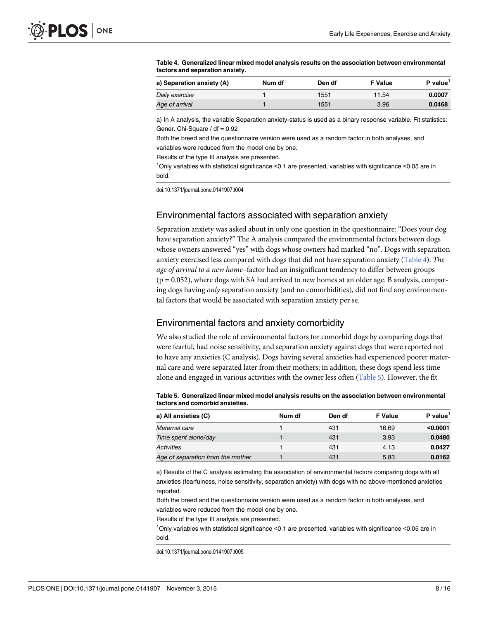| a) Separation anxiety (A) | Num df | Den df | <b>F</b> Value | P value' |
|---------------------------|--------|--------|----------------|----------|
| Daily exercise            |        | 1551   | 11.54          | 0.0007   |
| Age of arrival            |        | 1551   | 3.96           | 0.0468   |

Table 4. Generalized linear mixed model analysis results on the association between environmental factors and separation anxiety.

a) In A analysis, the variable Separation anxiety-status is used as a binary response variable. Fit statistics: Gener. Chi-Square / df = 0.92

Both the breed and the questionnaire version were used as a random factor in both analyses, and variables were reduced from the model one by one.

Results of the type III analysis are presented.

<sup>1</sup>Only variables with statistical significance <0.1 are presented, variables with significance <0.05 are in bold.

doi:10.1371/journal.pone.0141907.t004

### Environmental factors associated with separation anxiety

Separation anxiety was asked about in only one question in the questionnaire: "Does your dog have separation anxiety?" The A analysis compared the environmental factors between dogs whose owners answered "yes" with dogs whose owners had marked "no". Dogs with separation anxiety exercised less compared with dogs that did not have separation anxiety (Table 4). The age of arrival to a new home-factor had an insignificant tendency to differ between groups  $(p = 0.052)$ , where dogs with SA had arrived to new homes at an older age. B analysis, comparing dogs having only separation anxiety (and no comorbidities), did not find any environmental factors that would be associated with separation anxiety per se.

### Environmental factors and anxiety comorbidity

We also studied the role of environmental factors for comorbid dogs by comparing dogs that were fearful, had noise sensitivity, and separation anxiety against dogs that were reported not to have any anxieties (C analysis). Dogs having several anxieties had experienced poorer maternal care and were separated later from their mothers; in addition, these dogs spend less time alone and engaged in various activities with the owner less often (Table 5). However, the fit

Table 5. Generalized linear mixed model analysis results on the association between environmental factors and comorbid anxieties.

| a) All anxieties (C)              | Num df | Den df | <b>F</b> Value | $P$ value <sup>1</sup> |
|-----------------------------------|--------|--------|----------------|------------------------|
| Maternal care                     |        | 431    | 16.69          | < 0.0001               |
| Time spent alone/day              |        | 431    | 3.93           | 0.0480                 |
| <b>Activities</b>                 |        | 431    | 4.13           | 0.0427                 |
| Age of separation from the mother |        | 431    | 5.83           | 0.0162                 |

a) Results of the C analysis estimating the association of environmental factors comparing dogs with all anxieties (fearfulness, noise sensitivity, separation anxiety) with dogs with no above-mentioned anxieties reported.

Both the breed and the questionnaire version were used as a random factor in both analyses, and variables were reduced from the model one by one.

Results of the type III analysis are presented.

<sup>1</sup>Only variables with statistical significance <0.1 are presented, variables with significance <0.05 are in bold.

doi:10.1371/journal.pone.0141907.t005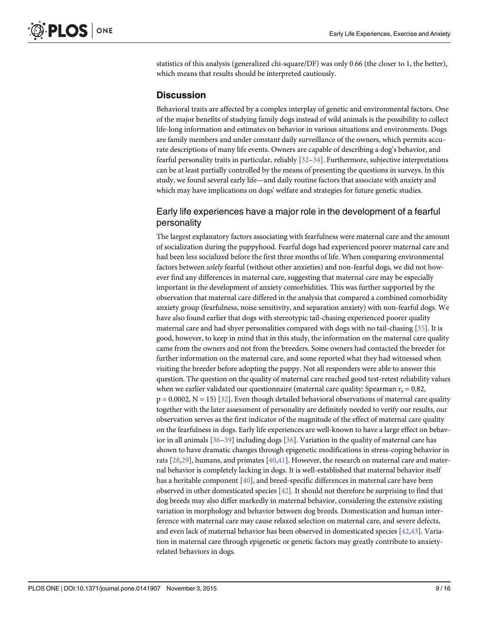<span id="page-8-0"></span>statistics of this analysis (generalized chi-square/DF) was only 0.66 (the closer to 1, the better), which means that results should be interpreted cautiously.

### **Discussion**

Behavioral traits are affected by a complex interplay of genetic and environmental factors. One of the major benefits of studying family dogs instead of wild animals is the possibility to collect life-long information and estimates on behavior in various situations and environments. Dogs are family members and under constant daily surveillance of the owners, which permits accurate descriptions of many life events. Owners are capable of describing a dog's behavior, and fearful personality traits in particular, reliably [\[32](#page-13-0)–[34\]](#page-13-0). Furthermore, subjective interpretations can be at least partially controlled by the means of presenting the questions in surveys. In this study, we found several early life—and daily routine factors that associate with anxiety and which may have implications on dogs' welfare and strategies for future genetic studies.

### Early life experiences have a major role in the development of a fearful personality

The largest explanatory factors associating with fearfulness were maternal care and the amount of socialization during the puppyhood. Fearful dogs had experienced poorer maternal care and had been less socialized before the first three months of life. When comparing environmental factors between solely fearful (without other anxieties) and non-fearful dogs, we did not however find any differences in maternal care, suggesting that maternal care may be especially important in the development of anxiety comorbidities. This was further supported by the observation that maternal care differed in the analysis that compared a combined comorbidity anxiety group (fearfulness, noise sensitivity, and separation anxiety) with non-fearful dogs. We have also found earlier that dogs with stereotypic tail-chasing experienced poorer quality maternal care and had shyer personalities compared with dogs with no tail-chasing [[35](#page-13-0)]. It is good, however, to keep in mind that in this study, the information on the maternal care quality came from the owners and not from the breeders. Some owners had contacted the breeder for further information on the maternal care, and some reported what they had witnessed when visiting the breeder before adopting the puppy. Not all responders were able to answer this question. The question on the quality of maternal care reached good test-retest reliability values when we earlier validated our questionnaire (maternal care quality: Spearman  $r_s = 0.82$ ,  $p = 0.0002$ ,  $N = 15$  [\[32\]](#page-13-0). Even though detailed behavioral observations of maternal care quality together with the later assessment of personality are definitely needed to verify our results, our observation serves as the first indicator of the magnitude of the effect of maternal care quality on the fearfulness in dogs. Early life experiences are well-known to have a large effect on behavior in all animals [[36](#page-13-0)–[39](#page-14-0)] including dogs [[36\]](#page-13-0). Variation in the quality of maternal care has shown to have dramatic changes through epigenetic modifications in stress-coping behavior in rats  $[28,29]$ , humans, and primates  $[40,41]$  $[40,41]$ . However, the research on maternal care and maternal behavior is completely lacking in dogs. It is well-established that maternal behavior itself has a heritable component [\[40\]](#page-14-0), and breed-specific differences in maternal care have been observed in other domesticated species  $[42]$  $[42]$ . It should not therefore be surprising to find that dog breeds may also differ markedly in maternal behavior, considering the extensive existing variation in morphology and behavior between dog breeds. Domestication and human interference with maternal care may cause relaxed selection on maternal care, and severe defects, and even lack of maternal behavior has been observed in domesticated species [\[42,43\]](#page-14-0). Variation in maternal care through epigenetic or genetic factors may greatly contribute to anxietyrelated behaviors in dogs.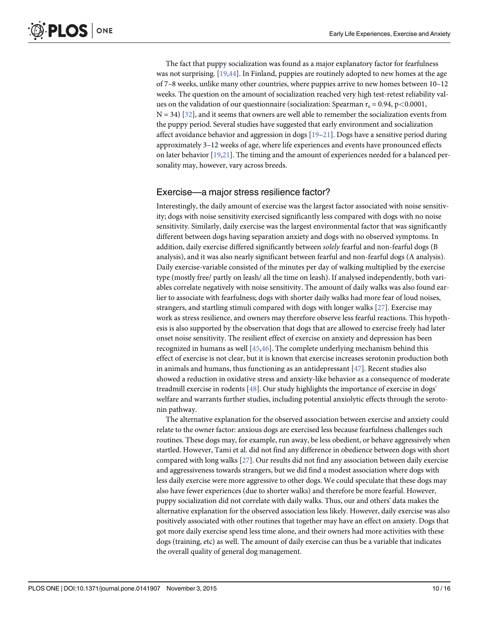<span id="page-9-0"></span>The fact that puppy socialization was found as a major explanatory factor for fearfulness was not surprising. [[19](#page-13-0),[44](#page-14-0)]. In Finland, puppies are routinely adopted to new homes at the age of 7–8 weeks, unlike many other countries, where puppies arrive to new homes between 10–12 weeks. The question on the amount of socialization reached very high test-retest reliability values on the validation of our questionnaire (socialization: Spearman  $r_s = 0.94$ , p<0.0001,  $N = 34$  [\[32\]](#page-13-0), and it seems that owners are well able to remember the socialization events from the puppy period. Several studies have suggested that early environment and socialization affect avoidance behavior and aggression in dogs  $[19-21]$  $[19-21]$  $[19-21]$ . Dogs have a sensitive period during approximately 3–12 weeks of age, where life experiences and events have pronounced effects on later behavior  $[19,21]$  $[19,21]$  $[19,21]$ . The timing and the amount of experiences needed for a balanced personality may, however, vary across breeds.

### Exercise—a major stress resilience factor?

Interestingly, the daily amount of exercise was the largest factor associated with noise sensitivity; dogs with noise sensitivity exercised significantly less compared with dogs with no noise sensitivity. Similarly, daily exercise was the largest environmental factor that was significantly different between dogs having separation anxiety and dogs with no observed symptoms. In addition, daily exercise differed significantly between solely fearful and non-fearful dogs (B analysis), and it was also nearly significant between fearful and non-fearful dogs (A analysis). Daily exercise-variable consisted of the minutes per day of walking multiplied by the exercise type (mostly free/ partly on leash/ all the time on leash). If analysed independently, both variables correlate negatively with noise sensitivity. The amount of daily walks was also found earlier to associate with fearfulness; dogs with shorter daily walks had more fear of loud noises, strangers, and startling stimuli compared with dogs with longer walks [[27](#page-13-0)]. Exercise may work as stress resilience, and owners may therefore observe less fearful reactions. This hypothesis is also supported by the observation that dogs that are allowed to exercise freely had later onset noise sensitivity. The resilient effect of exercise on anxiety and depression has been recognized in humans as well [\[45,46](#page-14-0)]. The complete underlying mechanism behind this effect of exercise is not clear, but it is known that exercise increases serotonin production both in animals and humans, thus functioning as an antidepressant  $[47]$  $[47]$  $[47]$ . Recent studies also showed a reduction in oxidative stress and anxiety-like behavior as a consequence of moderate treadmill exercise in rodents [[48](#page-14-0)]. Our study highlights the importance of exercise in dogs' welfare and warrants further studies, including potential anxiolytic effects through the serotonin pathway.

The alternative explanation for the observed association between exercise and anxiety could relate to the owner factor: anxious dogs are exercised less because fearfulness challenges such routines. These dogs may, for example, run away, be less obedient, or behave aggressively when startled. However, Tami et al. did not find any difference in obedience between dogs with short compared with long walks  $[27]$  $[27]$  $[27]$ . Our results did not find any association between daily exercise and aggressiveness towards strangers, but we did find a modest association where dogs with less daily exercise were more aggressive to other dogs. We could speculate that these dogs may also have fewer experiences (due to shorter walks) and therefore be more fearful. However, puppy socialization did not correlate with daily walks. Thus, our and others' data makes the alternative explanation for the observed association less likely. However, daily exercise was also positively associated with other routines that together may have an effect on anxiety. Dogs that got more daily exercise spend less time alone, and their owners had more activities with these dogs (training, etc) as well. The amount of daily exercise can thus be a variable that indicates the overall quality of general dog management.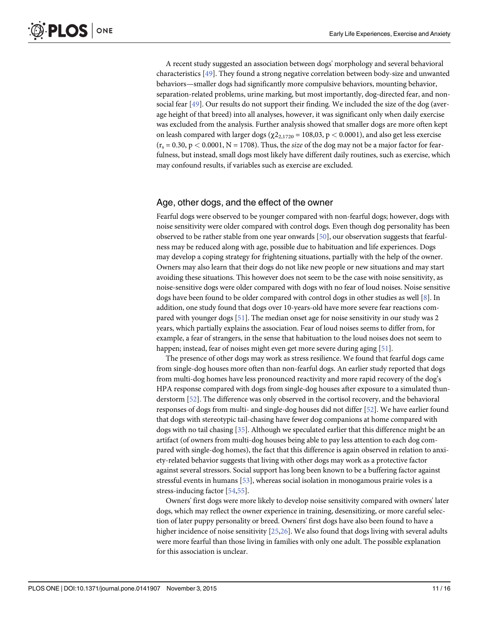<span id="page-10-0"></span>A recent study suggested an association between dogs' morphology and several behavioral characteristics [\[49\]](#page-14-0). They found a strong negative correlation between body-size and unwanted behaviors—smaller dogs had significantly more compulsive behaviors, mounting behavior, separation-related problems, urine marking, but most importantly, dog-directed fear, and nonsocial fear [\[49\]](#page-14-0). Our results do not support their finding. We included the size of the dog (average height of that breed) into all analyses, however, it was significant only when daily exercise was excluded from the analysis. Further analysis showed that smaller dogs are more often kept on leash compared with larger dogs ( $\chi$ 2<sub>2,1720</sub> = 108,03, p < 0.0001), and also get less exercise  $(r_s = 0.30, p < 0.0001, N = 1708)$ . Thus, the size of the dog may not be a major factor for fearfulness, but instead, small dogs most likely have different daily routines, such as exercise, which may confound results, if variables such as exercise are excluded.

### Age, other dogs, and the effect of the owner

Fearful dogs were observed to be younger compared with non-fearful dogs; however, dogs with noise sensitivity were older compared with control dogs. Even though dog personality has been observed to be rather stable from one year onwards [[50\]](#page-14-0), our observation suggests that fearfulness may be reduced along with age, possible due to habituation and life experiences. Dogs may develop a coping strategy for frightening situations, partially with the help of the owner. Owners may also learn that their dogs do not like new people or new situations and may start avoiding these situations. This however does not seem to be the case with noise sensitivity, as noise-sensitive dogs were older compared with dogs with no fear of loud noises. Noise sensitive dogs have been found to be older compared with control dogs in other studies as well [\[8](#page-12-0)]. In addition, one study found that dogs over 10-years-old have more severe fear reactions compared with younger dogs [[51](#page-14-0)]. The median onset age for noise sensitivity in our study was 2 years, which partially explains the association. Fear of loud noises seems to differ from, for example, a fear of strangers, in the sense that habituation to the loud noises does not seem to happen; instead, fear of noises might even get more severe during aging [\[51\]](#page-14-0).

The presence of other dogs may work as stress resilience. We found that fearful dogs came from single-dog houses more often than non-fearful dogs. An earlier study reported that dogs from multi-dog homes have less pronounced reactivity and more rapid recovery of the dog's HPA response compared with dogs from single-dog houses after exposure to a simulated thunderstorm [\[52\]](#page-14-0). The difference was only observed in the cortisol recovery, and the behavioral responses of dogs from multi- and single-dog houses did not differ [[52](#page-14-0)]. We have earlier found that dogs with stereotypic tail-chasing have fewer dog companions at home compared with dogs with no tail chasing [[35](#page-13-0)]. Although we speculated earlier that this difference might be an artifact (of owners from multi-dog houses being able to pay less attention to each dog compared with single-dog homes), the fact that this difference is again observed in relation to anxiety-related behavior suggests that living with other dogs may work as a protective factor against several stressors. Social support has long been known to be a buffering factor against stressful events in humans [[53](#page-14-0)], whereas social isolation in monogamous prairie voles is a stress-inducing factor [[54,55\]](#page-14-0).

Owners' first dogs were more likely to develop noise sensitivity compared with owners' later dogs, which may reflect the owner experience in training, desensitizing, or more careful selection of later puppy personality or breed. Owners' first dogs have also been found to have a higher incidence of noise sensitivity [[25](#page-13-0),[26](#page-13-0)]. We also found that dogs living with several adults were more fearful than those living in families with only one adult. The possible explanation for this association is unclear.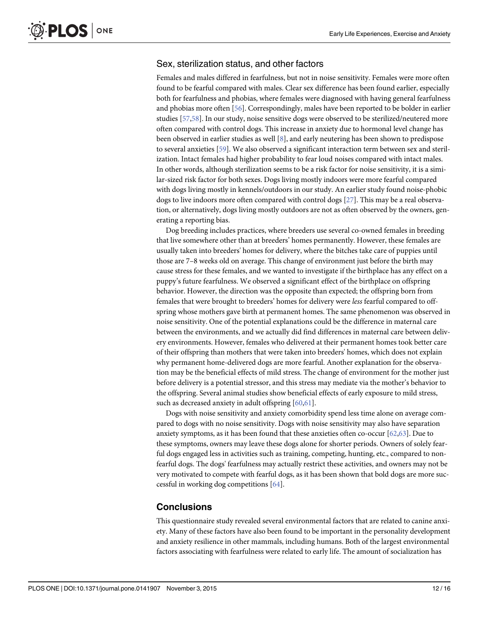### <span id="page-11-0"></span>Sex, sterilization status, and other factors

Females and males differed in fearfulness, but not in noise sensitivity. Females were more often found to be fearful compared with males. Clear sex difference has been found earlier, especially both for fearfulness and phobias, where females were diagnosed with having general fearfulness and phobias more often [[56](#page-14-0)]. Correspondingly, males have been reported to be bolder in earlier studies [\[57,58\]](#page-14-0). In our study, noise sensitive dogs were observed to be sterilized/neutered more often compared with control dogs. This increase in anxiety due to hormonal level change has been observed in earlier studies as well [[8](#page-12-0)], and early neutering has been shown to predispose to several anxieties [[59](#page-14-0)]. We also observed a significant interaction term between sex and sterilization. Intact females had higher probability to fear loud noises compared with intact males. In other words, although sterilization seems to be a risk factor for noise sensitivity, it is a similar-sized risk factor for both sexes. Dogs living mostly indoors were more fearful compared with dogs living mostly in kennels/outdoors in our study. An earlier study found noise-phobic dogs to live indoors more often compared with control dogs [[27](#page-13-0)]. This may be a real observation, or alternatively, dogs living mostly outdoors are not as often observed by the owners, generating a reporting bias.

Dog breeding includes practices, where breeders use several co-owned females in breeding that live somewhere other than at breeders' homes permanently. However, these females are usually taken into breeders' homes for delivery, where the bitches take care of puppies until those are 7–8 weeks old on average. This change of environment just before the birth may cause stress for these females, and we wanted to investigate if the birthplace has any effect on a puppy's future fearfulness. We observed a significant effect of the birthplace on offspring behavior. However, the direction was the opposite than expected; the offspring born from females that were brought to breeders' homes for delivery were less fearful compared to offspring whose mothers gave birth at permanent homes. The same phenomenon was observed in noise sensitivity. One of the potential explanations could be the difference in maternal care between the environments, and we actually did find differences in maternal care between delivery environments. However, females who delivered at their permanent homes took better care of their offspring than mothers that were taken into breeders' homes, which does not explain why permanent home-delivered dogs are more fearful. Another explanation for the observation may be the beneficial effects of mild stress. The change of environment for the mother just before delivery is a potential stressor, and this stress may mediate via the mother's behavior to the offspring. Several animal studies show beneficial effects of early exposure to mild stress, such as decreased anxiety in adult offspring [\[60,61\]](#page-14-0).

Dogs with noise sensitivity and anxiety comorbidity spend less time alone on average compared to dogs with no noise sensitivity. Dogs with noise sensitivity may also have separation anxiety symptoms, as it has been found that these anxieties often co-occur [\[62,63](#page-15-0)]. Due to these symptoms, owners may leave these dogs alone for shorter periods. Owners of solely fearful dogs engaged less in activities such as training, competing, hunting, etc., compared to nonfearful dogs. The dogs' fearfulness may actually restrict these activities, and owners may not be very motivated to compete with fearful dogs, as it has been shown that bold dogs are more successful in working dog competitions [[64](#page-15-0)].

### **Conclusions**

This questionnaire study revealed several environmental factors that are related to canine anxiety. Many of these factors have also been found to be important in the personality development and anxiety resilience in other mammals, including humans. Both of the largest environmental factors associating with fearfulness were related to early life. The amount of socialization has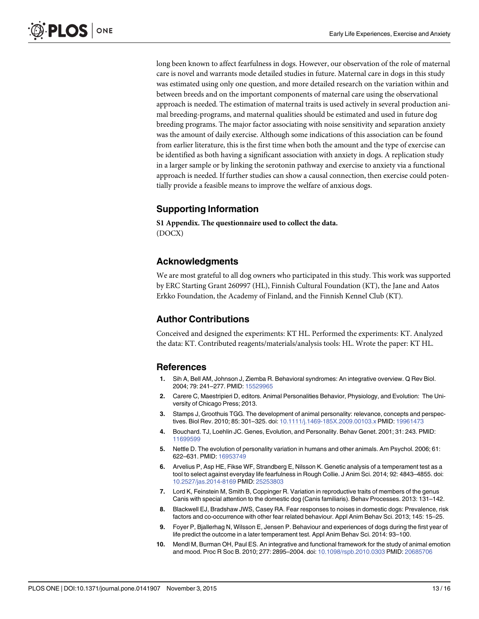<span id="page-12-0"></span>long been known to affect fearfulness in dogs. However, our observation of the role of maternal care is novel and warrants mode detailed studies in future. Maternal care in dogs in this study was estimated using only one question, and more detailed research on the variation within and between breeds and on the important components of maternal care using the observational approach is needed. The estimation of maternal traits is used actively in several production animal breeding-programs, and maternal qualities should be estimated and used in future dog breeding programs. The major factor associating with noise sensitivity and separation anxiety was the amount of daily exercise. Although some indications of this association can be found from earlier literature, this is the first time when both the amount and the type of exercise can be identified as both having a significant association with anxiety in dogs. A replication study in a larger sample or by linking the serotonin pathway and exercise to anxiety via a functional approach is needed. If further studies can show a causal connection, then exercise could potentially provide a feasible means to improve the welfare of anxious dogs.

### Supporting Information

[S1 Appendix.](http://www.plosone.org/article/fetchSingleRepresentation.action?uri=info:doi/10.1371/journal.pone.0141907.s001) The questionnaire used to collect the data. (DOCX)

### Acknowledgments

We are most grateful to all dog owners who participated in this study. This work was supported by ERC Starting Grant 260997 (HL), Finnish Cultural Foundation (KT), the Jane and Aatos Erkko Foundation, the Academy of Finland, and the Finnish Kennel Club (KT).

### Author Contributions

Conceived and designed the experiments: KT HL. Performed the experiments: KT. Analyzed the data: KT. Contributed reagents/materials/analysis tools: HL. Wrote the paper: KT HL.

### References

- [1.](#page-0-0) Sih A, Bell AM, Johnson J, Ziemba R. Behavioral syndromes: An integrative overview. Q Rev Biol. 2004; 79: 241–277. PMID: [15529965](http://www.ncbi.nlm.nih.gov/pubmed/15529965)
- [2.](#page-0-0) Carere C, Maestripieri D, editors. Animal Personalities Behavior, Physiology, and Evolution: The University of Chicago Press; 2013.
- [3.](#page-0-0) Stamps J, Groothuis TGG. The development of animal personality: relevance, concepts and perspec-tives. Biol Rev. 2010; 85: 301-325. doi: [10.1111/j.1469-185X.2009.00103.x](http://dx.doi.org/10.1111/j.1469-185X.2009.00103.x) PMID: [19961473](http://www.ncbi.nlm.nih.gov/pubmed/19961473)
- [4.](#page-0-0) Bouchard. TJ, Loehlin JC. Genes, Evolution, and Personality. Behav Genet. 2001; 31: 243. PMID: [11699599](http://www.ncbi.nlm.nih.gov/pubmed/11699599)
- 5. Nettle D. The evolution of personality variation in humans and other animals. Am Psychol. 2006; 61: 622–631. PMID: [16953749](http://www.ncbi.nlm.nih.gov/pubmed/16953749)
- [6.](#page-0-0) Arvelius P, Asp HE, Fikse WF, Strandberg E, Nilsson K. Genetic analysis of a temperament test as a tool to select against everyday life fearfulness in Rough Collie. J Anim Sci. 2014; 92: 4843–4855. doi: [10.2527/jas.2014-8169](http://dx.doi.org/10.2527/jas.2014-8169) PMID: [25253803](http://www.ncbi.nlm.nih.gov/pubmed/25253803)
- [7.](#page-1-0) Lord K, Feinstein M, Smith B, Coppinger R. Variation in reproductive traits of members of the genus Canis with special attention to the domestic dog (Canis familiaris). Behav Processes. 2013: 131–142.
- [8.](#page-1-0) Blackwell EJ, Bradshaw JWS, Casey RA. Fear responses to noises in domestic dogs: Prevalence, risk factors and co-occurrence with other fear related behaviour. Appl Anim Behav Sci. 2013; 145: 15–25.
- [9.](#page-1-0) Foyer P, Bjallerhag N, Wilsson E, Jensen P. Behaviour and experiences of dogs during the first year of life predict the outcome in a later temperament test. Appl Anim Behav Sci. 2014: 93–100.
- [10.](#page-1-0) Mendl M, Burman OH, Paul ES. An integrative and functional framework for the study of animal emotion and mood. Proc R Soc B. 2010; 277: 2895–2004. doi: [10.1098/rspb.2010.0303](http://dx.doi.org/10.1098/rspb.2010.0303) PMID: [20685706](http://www.ncbi.nlm.nih.gov/pubmed/20685706)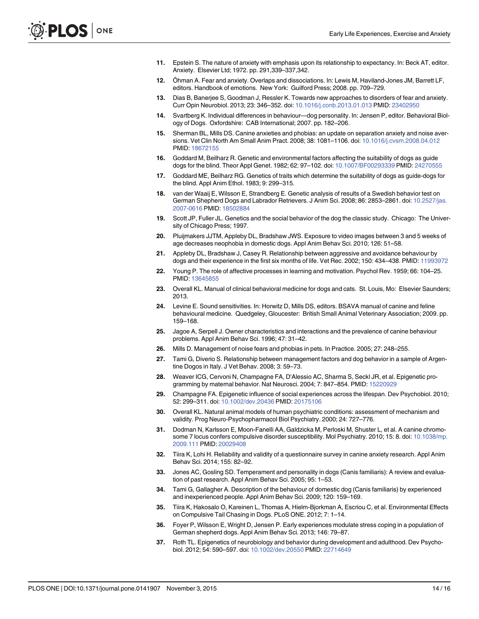- <span id="page-13-0"></span>[11.](#page-1-0) Epstein S. The nature of anxiety with emphasis upon its relationship to expectancy. In: Beck AT, editor. Anxiety. Elsevier Ltd; 1972. pp. 291,339–337,342.
- 12. Öhman A. Fear and anxiety. Overlaps and dissociations. In: Lewis M, Haviland-Jones JM, Barrett LF, editors. Handbook of emotions. New York: Guilford Press; 2008. pp. 709–729.
- [13.](#page-1-0) Dias B, Banerjee S, Goodman J, Ressler K. Towards new approaches to disorders of fear and anxiety. Curr Opin Neurobiol. 2013; 23: 346–352. doi: [10.1016/j.conb.2013.01.013](http://dx.doi.org/10.1016/j.conb.2013.01.013) PMID: [23402950](http://www.ncbi.nlm.nih.gov/pubmed/23402950)
- [14.](#page-1-0) Svartberg K. Individual differences in behaviour—dog personality. In: Jensen P, editor. Behavioral Biology of Dogs. Oxfordshire: CAB International; 2007. pp. 182–206.
- [15.](#page-1-0) Sherman BL, Mills DS. Canine anxieties and phobias: an update on separation anxiety and noise aversions. Vet Clin North Am Small Anim Pract. 2008; 38: 1081–1106. doi: [10.1016/j.cvsm.2008.04.012](http://dx.doi.org/10.1016/j.cvsm.2008.04.012) PMID: [18672155](http://www.ncbi.nlm.nih.gov/pubmed/18672155)
- [16.](#page-1-0) Goddard M, Beilharz R. Genetic and environmental factors affecting the suitability of dogs as guide dogs for the blind. Theor Appl Genet. 1982; 62: 97–102. doi: [10.1007/BF00293339](http://dx.doi.org/10.1007/BF00293339) PMID: [24270555](http://www.ncbi.nlm.nih.gov/pubmed/24270555)
- 17. Goddard ME, Beilharz RG. Genetics of traits which determine the suitability of dogs as guide-dogs for the blind. Appl Anim Ethol. 1983; 9: 299–315.
- [18.](#page-1-0) van der Waaij E, Wilsson E, Strandberg E. Genetic analysis of results of a Swedish behavior test on German Shepherd Dogs and Labrador Retrievers. J Anim Sci. 2008; 86: 2853–2861. doi: [10.2527/jas.](http://dx.doi.org/10.2527/jas.2007-0616) [2007-0616](http://dx.doi.org/10.2527/jas.2007-0616) PMID: [18502884](http://www.ncbi.nlm.nih.gov/pubmed/18502884)
- [19.](#page-1-0) Scott JP, Fuller JL. Genetics and the social behavior of the dog the classic study. Chicago: The University of Chicago Press; 1997.
- 20. Pluijmakers JJTM, Appleby DL, Bradshaw JWS. Exposure to video images between 3 and 5 weeks of age decreases neophobia in domestic dogs. Appl Anim Behav Sci. 2010; 126: 51–58.
- [21.](#page-1-0) Appleby DL, Bradshaw J, Casey R. Relationship between aggressive and avoidance behaviour by dogs and their experience in the first six months of life. Vet Rec. 2002; 150: 434-438. PMID: [11993972](http://www.ncbi.nlm.nih.gov/pubmed/11993972)
- [22.](#page-1-0) Young P. The role of affective processes in learning and motivation. Psychol Rev. 1959; 66: 104–25. PMID: [13645855](http://www.ncbi.nlm.nih.gov/pubmed/13645855)
- [23.](#page-1-0) Overall KL. Manual of clinical behavioral medicine for dogs and cats. St. Louis, Mo: Elsevier Saunders; 2013.
- [24.](#page-1-0) Levine E. Sound sensitivities. In: Horwitz D, Mills DS, editors. BSAVA manual of canine and feline behavioural medicine. Quedgeley, Gloucester: British Small Animal Veterinary Association; 2009. pp. 159–168.
- [25.](#page-1-0) Jagoe A, Serpell J. Owner characteristics and interactions and the prevalence of canine behaviour problems. Appl Anim Behav Sci. 1996; 47: 31–42.
- [26.](#page-1-0) Mills D. Management of noise fears and phobias in pets. In Practice. 2005; 27: 248–255.
- [27.](#page-1-0) Tami G, Diverio S. Relationship between management factors and dog behavior in a sample of Argentine Dogos in Italy. J Vet Behav. 2008; 3: 59–73.
- [28.](#page-1-0) Weaver ICG, Cervoni N, Champagne FA, D'Alessio AC, Sharma S, Seckl JR, et al. Epigenetic programming by maternal behavior. Nat Neurosci. 2004; 7: 847–854. PMID: [15220929](http://www.ncbi.nlm.nih.gov/pubmed/15220929)
- [29.](#page-1-0) Champagne FA. Epigenetic influence of social experiences across the lifespan. Dev Psychobiol. 2010; 52: 299–311. doi: [10.1002/dev.20436](http://dx.doi.org/10.1002/dev.20436) PMID: [20175106](http://www.ncbi.nlm.nih.gov/pubmed/20175106)
- [30.](#page-1-0) Overall KL. Natural animal models of human psychiatric conditions: assessment of mechanism and validity. Prog Neuro-Psychopharmacol Biol Psychiatry. 2000; 24: 727–776.
- [31.](#page-1-0) Dodman N, Karlsson E, Moon-Fanelli AA, Galdzicka M, Perloski M, Shuster L, et al. A canine chromo-some 7 locus confers compulsive disorder susceptibility. Mol Psychiatry. 2010; 15: 8. doi: [10.1038/mp.](http://dx.doi.org/10.1038/mp.2009.111) [2009.111](http://dx.doi.org/10.1038/mp.2009.111) PMID: [20029408](http://www.ncbi.nlm.nih.gov/pubmed/20029408)
- [32.](#page-1-0) Tiira K, Lohi H. Reliability and validity of a questionnaire survey in canine anxiety research. Appl Anim Behav Sci. 2014; 155: 82–92.
- 33. Jones AC, Gosling SD. Temperament and personality in dogs (Canis familiaris): A review and evaluation of past research. Appl Anim Behav Sci. 2005; 95: 1–53.
- [34.](#page-8-0) Tami G, Gallagher A. Description of the behaviour of domestic dog (Canis familiaris) by experienced and inexperienced people. Appl Anim Behav Sci. 2009; 120: 159–169.
- [35.](#page-8-0) Tiira K, Hakosalo O, Kareinen L, Thomas A, Hielm-Bjorkman A, Escriou C, et al. Environmental Effects on Compulsive Tail Chasing in Dogs. PLoS ONE. 2012; 7: 1–14.
- [36.](#page-8-0) Foyer P, Wilsson E, Wright D, Jensen P. Early experiences modulate stress coping in a population of German shepherd dogs. Appl Anim Behav Sci. 2013; 146: 79–87.
- 37. Roth TL. Epigenetics of neurobiology and behavior during development and adulthood. Dev Psychobiol. 2012; 54: 590–597. doi: [10.1002/dev.20550](http://dx.doi.org/10.1002/dev.20550) PMID: [22714649](http://www.ncbi.nlm.nih.gov/pubmed/22714649)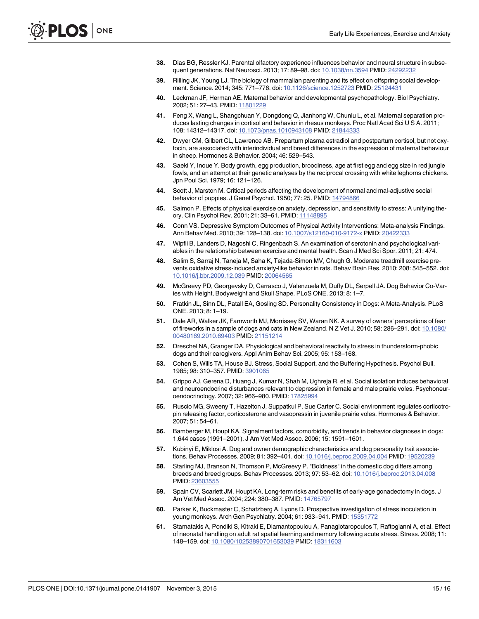- <span id="page-14-0"></span>38. Dias BG, Ressler KJ. Parental olfactory experience influences behavior and neural structure in subsequent generations. Nat Neurosci. 2013; 17: 89–98. doi: [10.1038/nn.3594](http://dx.doi.org/10.1038/nn.3594) PMID: [24292232](http://www.ncbi.nlm.nih.gov/pubmed/24292232)
- [39.](#page-8-0) Rilling JK, Young LJ. The biology of mammalian parenting and its effect on offspring social development. Science. 2014; 345: 771–776. doi: [10.1126/science.1252723](http://dx.doi.org/10.1126/science.1252723) PMID: [25124431](http://www.ncbi.nlm.nih.gov/pubmed/25124431)
- [40.](#page-8-0) Leckman JF, Herman AE. Maternal behavior and developmental psychopathology. Biol Psychiatry. 2002; 51: 27–43. PMID: [11801229](http://www.ncbi.nlm.nih.gov/pubmed/11801229)
- [41.](#page-8-0) Feng X, Wang L, Shangchuan Y, Dongdong Q, Jianhong W, Chunlu L, et al. Maternal separation produces lasting changes in cortisol and behavior in rhesus monkeys. Proc Natl Acad Sci U S A. 2011; 108: 14312–14317. doi: [10.1073/pnas.1010943108](http://dx.doi.org/10.1073/pnas.1010943108) PMID: [21844333](http://www.ncbi.nlm.nih.gov/pubmed/21844333)
- [42.](#page-8-0) Dwyer CM, Gilbert CL, Lawrence AB. Prepartum plasma estradiol and postpartum cortisol, but not oxytocin, are associated with interindividual and breed differences in the expression of maternal behaviour in sheep. Hormones & Behavior. 2004; 46: 529–543.
- [43.](#page-8-0) Saeki Y, Inoue Y. Body growth, egg production, broodiness, age at first egg and egg size in red jungle fowls, and an attempt at their genetic analyses by the reciprocal crossing with white leghorns chickens. Jpn Poul Sci. 1979; 16: 121–126.
- [44.](#page-9-0) Scott J, Marston M. Critical periods affecting the development of normal and mal-adjustive social behavior of puppies. J Genet Psychol. 1950; 77: 25. PMID: [14794866](http://www.ncbi.nlm.nih.gov/pubmed/14794866)
- [45.](#page-9-0) Salmon P. Effects of physical exercise on anxiety, depression, and sensitivity to stress: A unifying the-ory. Clin Psychol Rev. 2001; 21: 33-61. PMID: [11148895](http://www.ncbi.nlm.nih.gov/pubmed/11148895)
- [46.](#page-9-0) Conn VS. Depressive Symptom Outcomes of Physical Activity Interventions: Meta-analysis Findings. Ann Behav Med. 2010; 39: 128–138. doi: [10.1007/s12160-010-9172-x](http://dx.doi.org/10.1007/s12160-010-9172-x) PMID: [20422333](http://www.ncbi.nlm.nih.gov/pubmed/20422333)
- [47.](#page-9-0) Wipfli B, Landers D, Nagoshi C, Ringenbach S. An examination of serotonin and psychological variables in the relationship between exercise and mental health. Scan J Med Sci Spor. 2011; 21: 474.
- [48.](#page-9-0) Salim S, Sarraj N, Taneja M, Saha K, Tejada-Simon MV, Chugh G. Moderate treadmill exercise prevents oxidative stress-induced anxiety-like behavior in rats. Behav Brain Res. 2010; 208: 545–552. doi: [10.1016/j.bbr.2009.12.039](http://dx.doi.org/10.1016/j.bbr.2009.12.039) PMID: [20064565](http://www.ncbi.nlm.nih.gov/pubmed/20064565)
- [49.](#page-10-0) McGreevy PD, Georgevsky D, Carrasco J, Valenzuela M, Duffy DL, Serpell JA. Dog Behavior Co-Varies with Height, Bodyweight and Skull Shape. PLoS ONE. 2013; 8: 1–7.
- [50.](#page-10-0) Fratkin JL, Sinn DL, Patall EA, Gosling SD. Personality Consistency in Dogs: A Meta-Analysis. PLoS ONE. 2013; 8: 1–19.
- [51.](#page-10-0) Dale AR, Walker JK, Farnworth MJ, Morrissey SV, Waran NK. A survey of owners' perceptions of fear of fireworks in a sample of dogs and cats in New Zealand. N Z Vet J. 2010; 58: 286–291. doi: [10.1080/](http://dx.doi.org/10.1080/00480169.2010.69403) [00480169.2010.69403](http://dx.doi.org/10.1080/00480169.2010.69403) PMID: [21151214](http://www.ncbi.nlm.nih.gov/pubmed/21151214)
- [52.](#page-10-0) Dreschel NA, Granger DA. Physiological and behavioral reactivity to stress in thunderstorm-phobic dogs and their caregivers. Appl Anim Behav Sci. 2005; 95: 153–168.
- [53.](#page-10-0) Cohen S, Wills TA, House BJ. Stress, Social Support, and the Buffering Hypothesis. Psychol Bull. 1985; 98: 310–357. PMID: [3901065](http://www.ncbi.nlm.nih.gov/pubmed/3901065)
- [54.](#page-10-0) Grippo AJ, Gerena D, Huang J, Kumar N, Shah M, Ughreja R, et al. Social isolation induces behavioral and neuroendocrine disturbances relevant to depression in female and male prairie voles. Psychoneuroendocrinology. 2007; 32: 966–980. PMID: [17825994](http://www.ncbi.nlm.nih.gov/pubmed/17825994)
- [55.](#page-10-0) Ruscio MG, Sweeny T, Hazelton J, Suppatkul P, Sue Carter C. Social environment regulates corticotropin releasing factor, corticosterone and vasopressin in juvenile prairie voles. Hormones & Behavior. 2007; 51: 54–61.
- [56.](#page-11-0) Bamberger M, Houpt KA. Signalment factors, comorbidity, and trends in behavior diagnoses in dogs: 1,644 cases (1991–2001). J Am Vet Med Assoc. 2006; 15: 1591–1601.
- [57.](#page-11-0) Kubinyi E, Miklosi A. Dog and owner demographic characteristics and dog personality trait associations. Behav Processes. 2009; 81: 392–401. doi: [10.1016/j.beproc.2009.04.004](http://dx.doi.org/10.1016/j.beproc.2009.04.004) PMID: [19520239](http://www.ncbi.nlm.nih.gov/pubmed/19520239)
- [58.](#page-11-0) Starling MJ, Branson N, Thomson P, McGreevy P. "Boldness" in the domestic dog differs among breeds and breed groups. Behav Processes. 2013; 97: 53–62. doi: [10.1016/j.beproc.2013.04.008](http://dx.doi.org/10.1016/j.beproc.2013.04.008) PMID: [23603555](http://www.ncbi.nlm.nih.gov/pubmed/23603555)
- [59.](#page-11-0) Spain CV, Scarlett JM, Houpt KA. Long-term risks and benefits of early-age gonadectomy in dogs. J Am Vet Med Assoc. 2004; 224: 380-387. PMID: [14765797](http://www.ncbi.nlm.nih.gov/pubmed/14765797)
- [60.](#page-11-0) Parker K, Buckmaster C, Schatzberg A, Lyons D. Prospective investigation of stress inoculation in young monkeys. Arch Gen Psychiatry. 2004; 61: 933–941. PMID: [15351772](http://www.ncbi.nlm.nih.gov/pubmed/15351772)
- [61.](#page-11-0) Stamatakis A, Pondiki S, Kitraki E, Diamantopoulou A, Panagiotaropoulos T, Raftogianni A, et al. Effect of neonatal handling on adult rat spatial learning and memory following acute stress. Stress. 2008; 11: 148–159. doi: [10.1080/10253890701653039](http://dx.doi.org/10.1080/10253890701653039) PMID: [18311603](http://www.ncbi.nlm.nih.gov/pubmed/18311603)